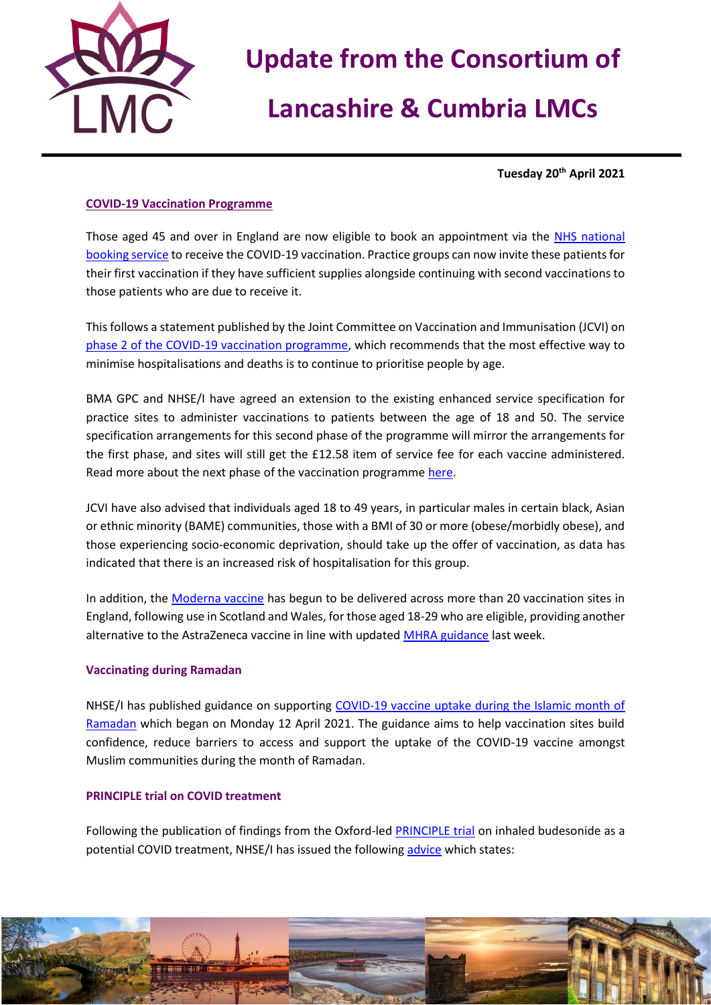

# **Update from the Consortium of**

# **Lancashire & Cumbria LMCs**

**Tuesday 20th April 2021**

### **COVID-19 Vaccination Programme**

Those aged 45 and over in England are now eligible to book an appointment via the [NHS national](https://www.nhs.uk/conditions/coronavirus-covid-19/coronavirus-vaccination/book-coronavirus-vaccination/)  [booking service](https://www.nhs.uk/conditions/coronavirus-covid-19/coronavirus-vaccination/book-coronavirus-vaccination/) to receive the COVID-19 vaccination. Practice groups can now invite these patients for their first vaccination if they have sufficient supplies alongside continuing with second vaccinations to those patients who are due to receive it.

This follows a statement published by the Joint Committee on Vaccination and Immunisation (JCVI) on [phase 2 of the COVID-19 vaccination programme,](https://www.gov.uk/government/publications/priority-groups-for-phase-2-of-the-coronavirus-covid-19-vaccination-programme-advice-from-the-jcvi) which recommends that the most effective way to minimise hospitalisations and deaths is to continue to prioritise people by age.

BMA GPC and NHSE/I have agreed an extension to the existing enhanced service specification for practice sites to administer vaccinations to patients between the age of 18 and 50. The service specification arrangements for this second phase of the programme will mirror the arrangements for the first phase, and sites will still get the £12.58 item of service fee for each vaccine administered. Read more about the next phase of the vaccination programm[e here.](https://www.england.nhs.uk/coronavirus/publication/next-phase-of-nhs-covid-19-vaccination-campaign/)

JCVI have also advised that individuals aged 18 to 49 years, in particular males in certain black, Asian or ethnic minority (BAME) communities, those with a BMI of 30 or more (obese/morbidly obese), and those experiencing socio-economic deprivation, should take up the offer of vaccination, as data has indicated that there is an increased risk of hospitalisation for this group.

In addition, the [Moderna vaccine](https://www.england.nhs.uk/2021/04/moderna-jabs-mark-new-milestone-in-nhs-vaccination-programme/) has begun to be delivered across more than 20 vaccination sites in England, following use in Scotland and Wales, for those aged 18-29 who are eligible, providing another alternative to the AstraZeneca vaccine in line with updated [MHRA guidance](https://www.gov.uk/government/publications/covid-19-vaccination-and-blood-clotting/covid-19-vaccination-and-blood-clotting) last week.

#### **Vaccinating during Ramadan**

NHSE/I has published guidance on supporting [COVID-19 vaccine uptake during the Islamic month of](https://www.england.nhs.uk/coronavirus/publication/supporting-covid-19-vaccine-uptake-during-ramadan/)  [Ramadan](https://www.england.nhs.uk/coronavirus/publication/supporting-covid-19-vaccine-uptake-during-ramadan/) which began on Monday 12 April 2021. The guidance aims to help vaccination sites build confidence, reduce barriers to access and support the uptake of the COVID-19 vaccine amongst Muslim communities during the month of Ramadan.

### **PRINCIPLE trial on COVID treatment**

Following the publication of findings from the Oxford-led [PRINCIPLE trial](https://www.principletrial.org/news/asthma-drug-budesonide-shortens-recovery-time-in-non-hospitalised-patients-with-covid-19) on inhaled budesonide as a potential COVID treatment, NHSE/I has issued the following [advice](https://www.cas.mhra.gov.uk/ViewandAcknowledgment/ViewAlert.aspx?AlertID=103154) which states: